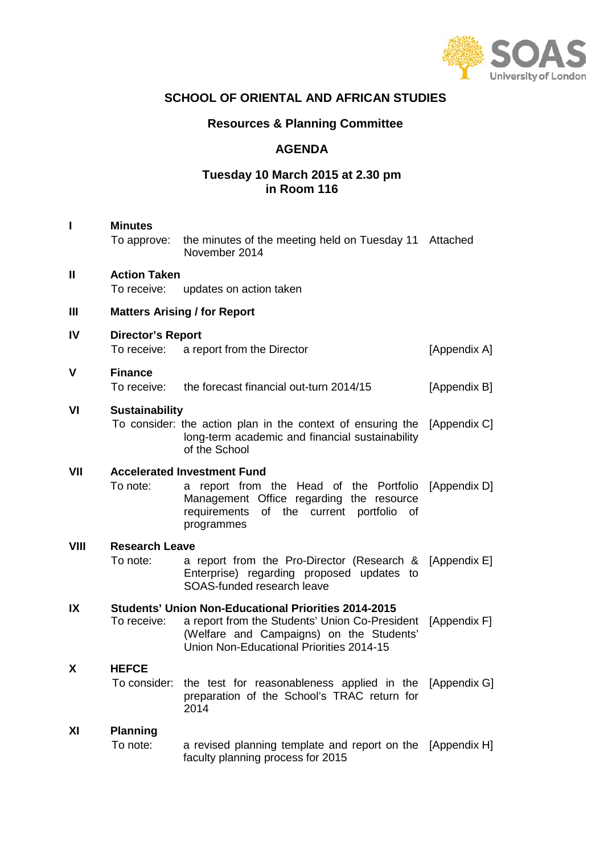

### **SCHOOL OF ORIENTAL AND AFRICAN STUDIES**

# **Resources & Planning Committee**

#### **AGENDA**

### **Tuesday 10 March 2015 at 2.30 pm in Room 116**

| $\mathbf{I}$ | <b>Minutes</b>                                                                                                                                                                                                       |                                                                                                                                                                                                  |              |  |  |  |
|--------------|----------------------------------------------------------------------------------------------------------------------------------------------------------------------------------------------------------------------|--------------------------------------------------------------------------------------------------------------------------------------------------------------------------------------------------|--------------|--|--|--|
|              | To approve:                                                                                                                                                                                                          | the minutes of the meeting held on Tuesday 11 Attached<br>November 2014                                                                                                                          |              |  |  |  |
| $\mathbf{I}$ | <b>Action Taken</b><br>To receive:                                                                                                                                                                                   | updates on action taken                                                                                                                                                                          |              |  |  |  |
| Ш            | <b>Matters Arising / for Report</b>                                                                                                                                                                                  |                                                                                                                                                                                                  |              |  |  |  |
| IV           | <b>Director's Report</b><br>To receive:<br>a report from the Director<br>[Appendix A]                                                                                                                                |                                                                                                                                                                                                  |              |  |  |  |
| $\mathbf v$  | <b>Finance</b><br>To receive:                                                                                                                                                                                        | the forecast financial out-turn 2014/15                                                                                                                                                          | [Appendix B] |  |  |  |
| VI           | <b>Sustainability</b>                                                                                                                                                                                                | To consider: the action plan in the context of ensuring the [Appendix C]<br>long-term academic and financial sustainability<br>of the School                                                     |              |  |  |  |
| VII          | To note:                                                                                                                                                                                                             | <b>Accelerated Investment Fund</b><br>a report from the Head of the Portfolio [Appendix D]<br>Management Office regarding the resource<br>requirements of the current portfolio of<br>programmes |              |  |  |  |
| VIII         | <b>Research Leave</b><br>To note:                                                                                                                                                                                    | a report from the Pro-Director (Research & [Appendix E]<br>Enterprise) regarding proposed updates to<br>SOAS-funded research leave                                                               |              |  |  |  |
| IX           | <b>Students' Union Non-Educational Priorities 2014-2015</b><br>a report from the Students' Union Co-President<br>To receive:<br>(Welfare and Campaigns) on the Students'<br>Union Non-Educational Priorities 2014-15 |                                                                                                                                                                                                  | [Appendix F] |  |  |  |
| X            | <b>HEFCE</b><br>To consider:                                                                                                                                                                                         | the test for reasonableness applied in the [Appendix G]<br>preparation of the School's TRAC return for<br>2014                                                                                   |              |  |  |  |
| XI           | <b>Planning</b><br>To note:                                                                                                                                                                                          | a revised planning template and report on the [Appendix H]<br>faculty planning process for 2015                                                                                                  |              |  |  |  |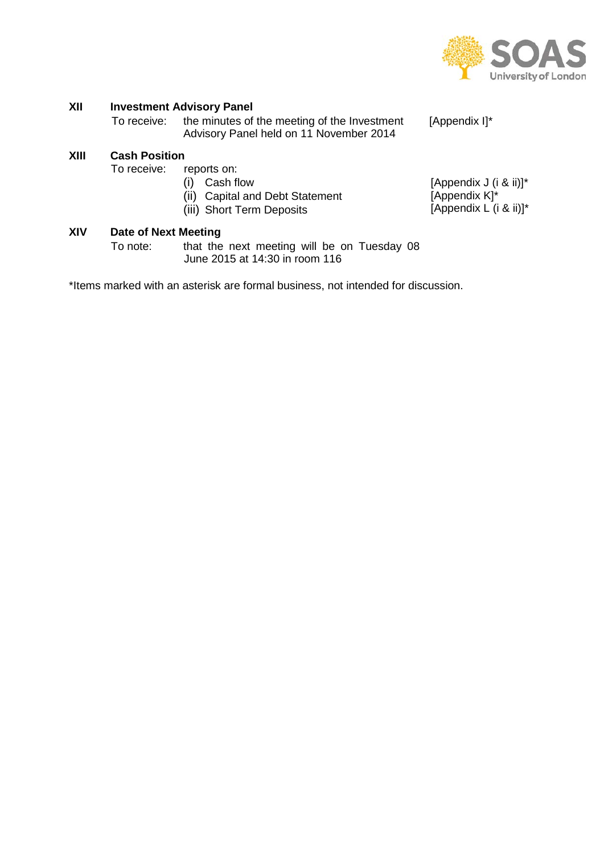

# **XII Investment Advisory Panel**<br>To receive: the minutes of

# **XIII Cash Position**

reports on:

- (i) Cash flow
- (ii) Capital and Debt Statement
- (iii) Short Term Deposits
- 
- [Appendix J (i & ii)]\* [Appendix K]\* [Appendix L (i & ii)]\*

# **XIV Date of Next Meeting**

that the next meeting will be on Tuesday 08 June 2015 at 14:30 in room 116

\*Items marked with an asterisk are formal business, not intended for discussion.

the minutes of the meeting of the Investment Advisory Panel held on 11 November 2014 [Appendix I]\*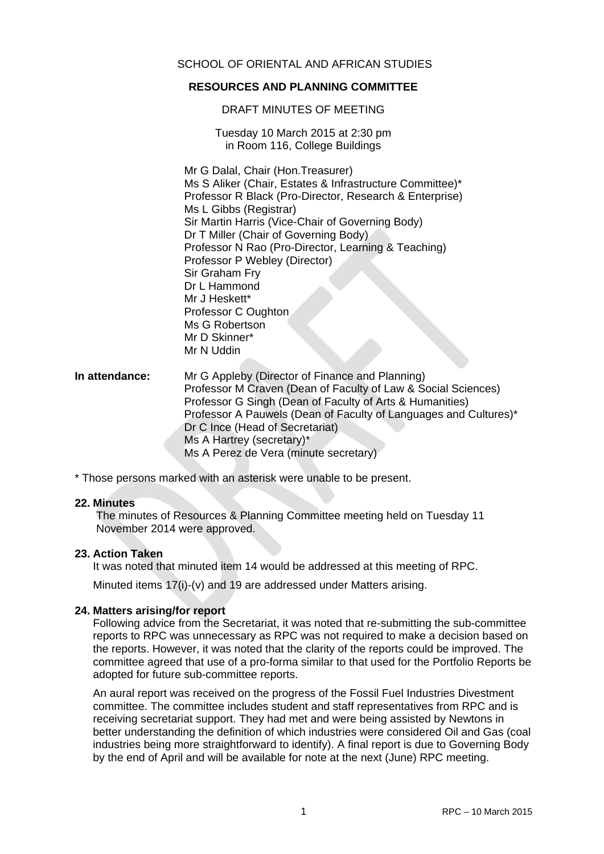#### SCHOOL OF ORIENTAL AND AFRICAN STUDIES

#### **RESOURCES AND PLANNING COMMITTEE**

#### DRAFT MINUTES OF MEETING

Tuesday 10 March 2015 at 2:30 pm in Room 116, College Buildings

Mr G Dalal, Chair (Hon.Treasurer) Ms S Aliker (Chair, Estates & Infrastructure Committee)\* Professor R Black (Pro-Director, Research & Enterprise) Ms L Gibbs (Registrar) Sir Martin Harris (Vice-Chair of Governing Body) Dr T Miller (Chair of Governing Body) Professor N Rao (Pro-Director, Learning & Teaching) Professor P Webley (Director) Sir Graham Fry Dr L Hammond Mr J Heskett\* Professor C Oughton Ms G Robertson Mr D Skinner\* Mr N Uddin

**In attendance:** Mr G Appleby (Director of Finance and Planning) Professor M Craven (Dean of Faculty of Law & Social Sciences) Professor G Singh (Dean of Faculty of Arts & Humanities) Professor A Pauwels (Dean of Faculty of Languages and Cultures)\* Dr C Ince (Head of Secretariat) Ms A Hartrey (secretary)\* Ms A Perez de Vera (minute secretary)

\* Those persons marked with an asterisk were unable to be present.

#### **22. Minutes**

The minutes of Resources & Planning Committee meeting held on Tuesday 11 November 2014 were approved.

#### **23. Action Taken**

It was noted that minuted item 14 would be addressed at this meeting of RPC.

Minuted items 17(i)-(v) and 19 are addressed under Matters arising.

#### **24. Matters arising/for report**

Following advice from the Secretariat, it was noted that re-submitting the sub-committee reports to RPC was unnecessary as RPC was not required to make a decision based on the reports. However, it was noted that the clarity of the reports could be improved. The committee agreed that use of a pro-forma similar to that used for the Portfolio Reports be adopted for future sub-committee reports.

An aural report was received on the progress of the Fossil Fuel Industries Divestment committee. The committee includes student and staff representatives from RPC and is receiving secretariat support. They had met and were being assisted by Newtons in better understanding the definition of which industries were considered Oil and Gas (coal industries being more straightforward to identify). A final report is due to Governing Body by the end of April and will be available for note at the next (June) RPC meeting.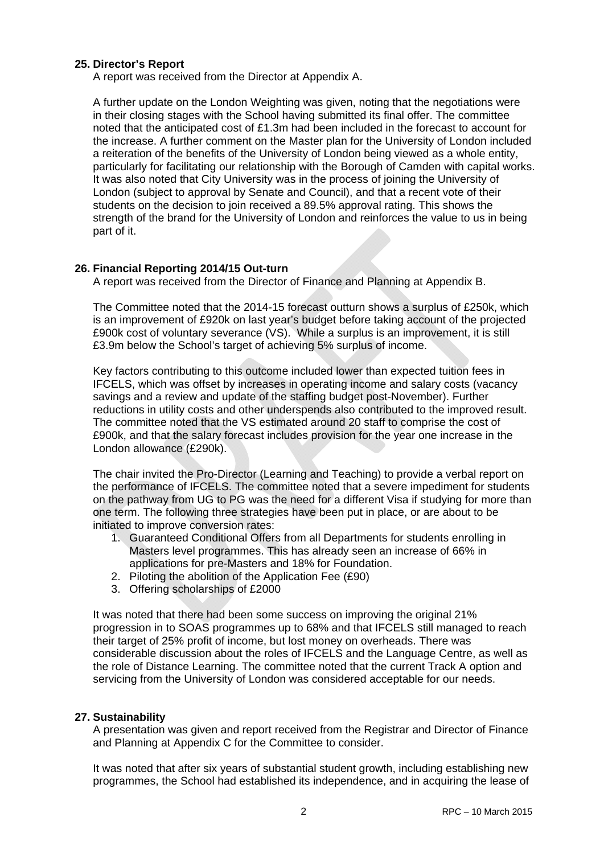#### **25. Director's Report**

A report was received from the Director at Appendix A.

A further update on the London Weighting was given, noting that the negotiations were in their closing stages with the School having submitted its final offer. The committee noted that the anticipated cost of £1.3m had been included in the forecast to account for the increase. A further comment on the Master plan for the University of London included a reiteration of the benefits of the University of London being viewed as a whole entity, particularly for facilitating our relationship with the Borough of Camden with capital works. It was also noted that City University was in the process of joining the University of London (subject to approval by Senate and Council), and that a recent vote of their students on the decision to join received a 89.5% approval rating. This shows the strength of the brand for the University of London and reinforces the value to us in being part of it.

#### **26. Financial Reporting 2014/15 Out-turn**

A report was received from the Director of Finance and Planning at Appendix B.

The Committee noted that the 2014-15 forecast outturn shows a surplus of £250k, which is an improvement of £920k on last year's budget before taking account of the projected £900k cost of voluntary severance (VS). While a surplus is an improvement, it is still £3.9m below the School's target of achieving 5% surplus of income.

Key factors contributing to this outcome included lower than expected tuition fees in IFCELS, which was offset by increases in operating income and salary costs (vacancy savings and a review and update of the staffing budget post-November). Further reductions in utility costs and other underspends also contributed to the improved result. The committee noted that the VS estimated around 20 staff to comprise the cost of £900k, and that the salary forecast includes provision for the year one increase in the London allowance (£290k).

The chair invited the Pro-Director (Learning and Teaching) to provide a verbal report on the performance of IFCELS. The committee noted that a severe impediment for students on the pathway from UG to PG was the need for a different Visa if studying for more than one term. The following three strategies have been put in place, or are about to be initiated to improve conversion rates:

- 1. Guaranteed Conditional Offers from all Departments for students enrolling in Masters level programmes. This has already seen an increase of 66% in applications for pre-Masters and 18% for Foundation.
- 2. Piloting the abolition of the Application Fee (£90)
- 3. Offering scholarships of £2000

It was noted that there had been some success on improving the original 21% progression in to SOAS programmes up to 68% and that IFCELS still managed to reach their target of 25% profit of income, but lost money on overheads. There was considerable discussion about the roles of IFCELS and the Language Centre, as well as the role of Distance Learning. The committee noted that the current Track A option and servicing from the University of London was considered acceptable for our needs.

#### **27. Sustainability**

A presentation was given and report received from the Registrar and Director of Finance and Planning at Appendix C for the Committee to consider.

It was noted that after six years of substantial student growth, including establishing new programmes, the School had established its independence, and in acquiring the lease of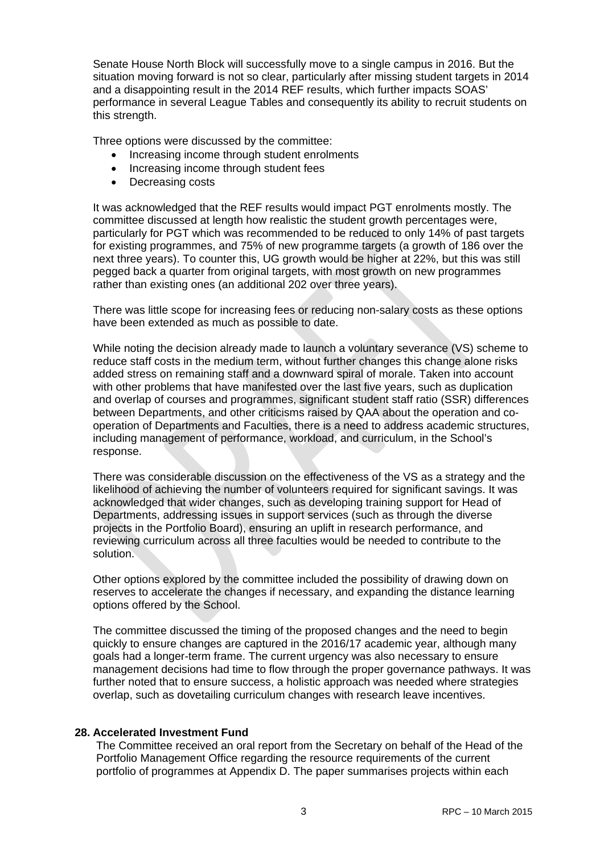Senate House North Block will successfully move to a single campus in 2016. But the situation moving forward is not so clear, particularly after missing student targets in 2014 and a disappointing result in the 2014 REF results, which further impacts SOAS' performance in several League Tables and consequently its ability to recruit students on this strength.

Three options were discussed by the committee:

- Increasing income through student enrolments
- Increasing income through student fees
- Decreasing costs

It was acknowledged that the REF results would impact PGT enrolments mostly. The committee discussed at length how realistic the student growth percentages were, particularly for PGT which was recommended to be reduced to only 14% of past targets for existing programmes, and 75% of new programme targets (a growth of 186 over the next three years). To counter this, UG growth would be higher at 22%, but this was still pegged back a quarter from original targets, with most growth on new programmes rather than existing ones (an additional 202 over three years).

There was little scope for increasing fees or reducing non-salary costs as these options have been extended as much as possible to date.

While noting the decision already made to launch a voluntary severance (VS) scheme to reduce staff costs in the medium term, without further changes this change alone risks added stress on remaining staff and a downward spiral of morale. Taken into account with other problems that have manifested over the last five years, such as duplication and overlap of courses and programmes, significant student staff ratio (SSR) differences between Departments, and other criticisms raised by QAA about the operation and cooperation of Departments and Faculties, there is a need to address academic structures, including management of performance, workload, and curriculum, in the School's response.

There was considerable discussion on the effectiveness of the VS as a strategy and the likelihood of achieving the number of volunteers required for significant savings. It was acknowledged that wider changes, such as developing training support for Head of Departments, addressing issues in support services (such as through the diverse projects in the Portfolio Board), ensuring an uplift in research performance, and reviewing curriculum across all three faculties would be needed to contribute to the solution.

Other options explored by the committee included the possibility of drawing down on reserves to accelerate the changes if necessary, and expanding the distance learning options offered by the School.

The committee discussed the timing of the proposed changes and the need to begin quickly to ensure changes are captured in the 2016/17 academic year, although many goals had a longer-term frame. The current urgency was also necessary to ensure management decisions had time to flow through the proper governance pathways. It was further noted that to ensure success, a holistic approach was needed where strategies overlap, such as dovetailing curriculum changes with research leave incentives.

#### **28. Accelerated Investment Fund**

The Committee received an oral report from the Secretary on behalf of the Head of the Portfolio Management Office regarding the resource requirements of the current portfolio of programmes at Appendix D. The paper summarises projects within each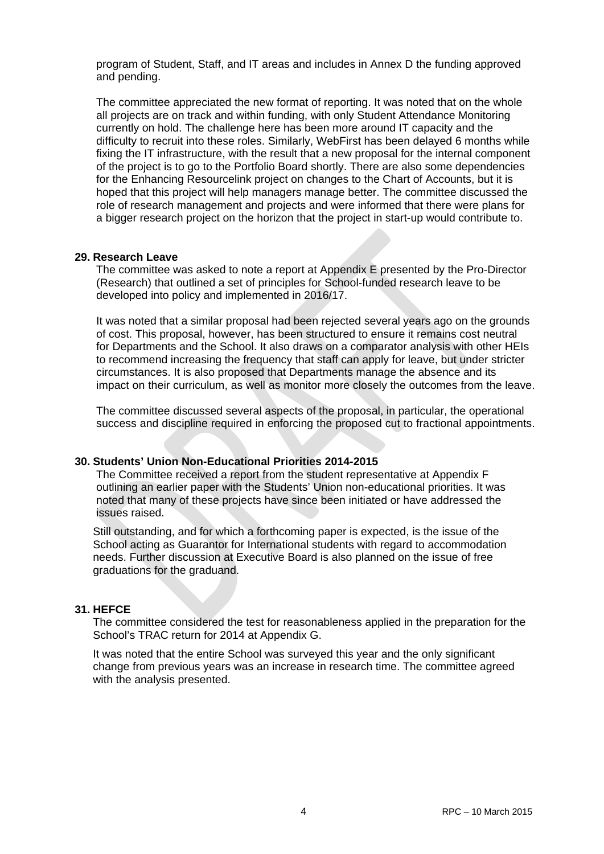program of Student, Staff, and IT areas and includes in Annex D the funding approved and pending.

The committee appreciated the new format of reporting. It was noted that on the whole all projects are on track and within funding, with only Student Attendance Monitoring currently on hold. The challenge here has been more around IT capacity and the difficulty to recruit into these roles. Similarly, WebFirst has been delayed 6 months while fixing the IT infrastructure, with the result that a new proposal for the internal component of the project is to go to the Portfolio Board shortly. There are also some dependencies for the Enhancing Resourcelink project on changes to the Chart of Accounts, but it is hoped that this project will help managers manage better. The committee discussed the role of research management and projects and were informed that there were plans for a bigger research project on the horizon that the project in start-up would contribute to.

#### **29. Research Leave**

The committee was asked to note a report at Appendix E presented by the Pro-Director (Research) that outlined a set of principles for School-funded research leave to be developed into policy and implemented in 2016/17.

It was noted that a similar proposal had been rejected several years ago on the grounds of cost. This proposal, however, has been structured to ensure it remains cost neutral for Departments and the School. It also draws on a comparator analysis with other HEIs to recommend increasing the frequency that staff can apply for leave, but under stricter circumstances. It is also proposed that Departments manage the absence and its impact on their curriculum, as well as monitor more closely the outcomes from the leave.

The committee discussed several aspects of the proposal, in particular, the operational success and discipline required in enforcing the proposed cut to fractional appointments.

#### **30. Students' Union Non-Educational Priorities 2014-2015**

The Committee received a report from the student representative at Appendix F outlining an earlier paper with the Students' Union non-educational priorities. It was noted that many of these projects have since been initiated or have addressed the issues raised.

Still outstanding, and for which a forthcoming paper is expected, is the issue of the School acting as Guarantor for International students with regard to accommodation needs. Further discussion at Executive Board is also planned on the issue of free graduations for the graduand.

#### **31. HEFCE**

The committee considered the test for reasonableness applied in the preparation for the School's TRAC return for 2014 at Appendix G.

It was noted that the entire School was surveyed this year and the only significant change from previous years was an increase in research time. The committee agreed with the analysis presented.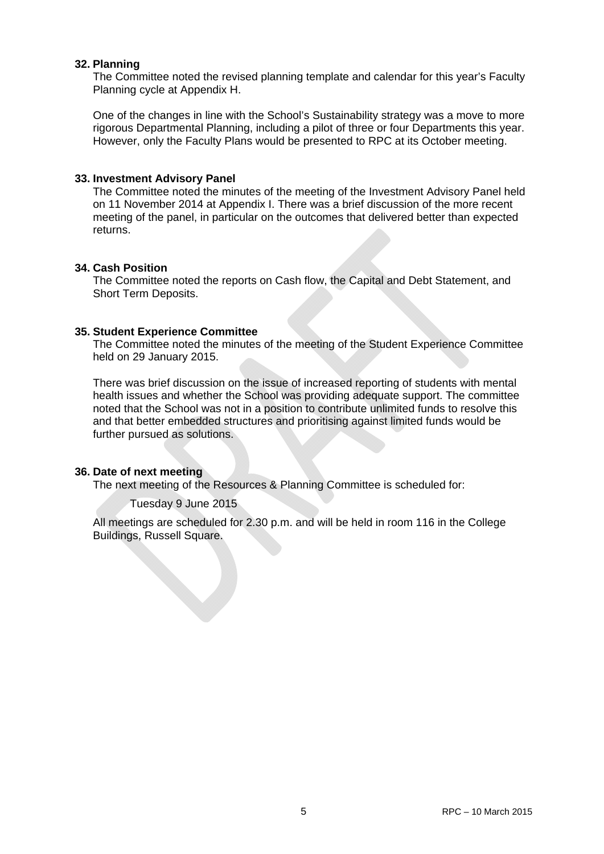#### **32. Planning**

The Committee noted the revised planning template and calendar for this year's Faculty Planning cycle at Appendix H.

One of the changes in line with the School's Sustainability strategy was a move to more rigorous Departmental Planning, including a pilot of three or four Departments this year. However, only the Faculty Plans would be presented to RPC at its October meeting.

#### **33. Investment Advisory Panel**

The Committee noted the minutes of the meeting of the Investment Advisory Panel held on 11 November 2014 at Appendix I. There was a brief discussion of the more recent meeting of the panel, in particular on the outcomes that delivered better than expected returns.

#### **34. Cash Position**

The Committee noted the reports on Cash flow, the Capital and Debt Statement, and Short Term Deposits.

#### **35. Student Experience Committee**

The Committee noted the minutes of the meeting of the Student Experience Committee held on 29 January 2015.

There was brief discussion on the issue of increased reporting of students with mental health issues and whether the School was providing adequate support. The committee noted that the School was not in a position to contribute unlimited funds to resolve this and that better embedded structures and prioritising against limited funds would be further pursued as solutions.

#### **36. Date of next meeting**

The next meeting of the Resources & Planning Committee is scheduled for:

#### Tuesday 9 June 2015

All meetings are scheduled for 2.30 p.m. and will be held in room 116 in the College Buildings, Russell Square.